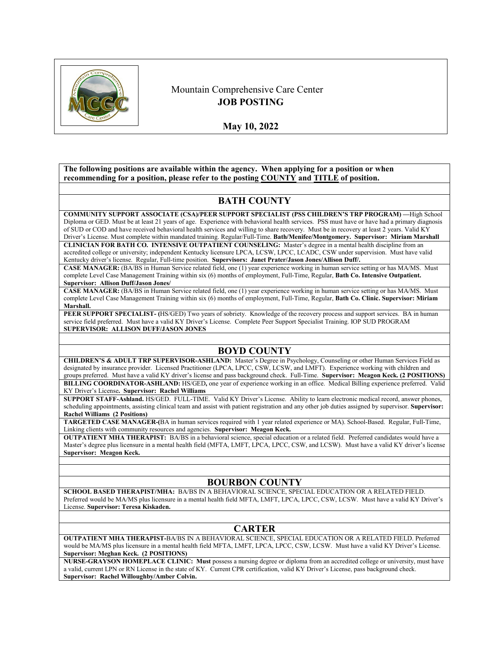

# Mountain Comprehensive Care Center **JOB POSTING**

**May 10, 2022** 

**The following positions are available within the agency. When applying for a position or when recommending for a position, please refer to the posting COUNTY and TITLE of position.**

# **BATH COUNTY**

**COMMUNITY SUPPORT ASSOCIATE (CSA)/PEER SUPPORT SPECIALIST (PSS CHILDREN'S TRP PROGRAM) —**High School Diploma or GED. Must be at least 21 years of age. Experience with behavioral health services. PSS must have or have had a primary diagnosis of SUD or COD and have received behavioral health services and willing to share recovery. Must be in recovery at least 2 years. Valid KY Driver's License. Must complete within mandated training. Regular/Full-Time. **Bath/Menifee/Montgomery. Supervisor: Miriam Marshall CLINICIAN FOR BATH CO. INTENSIVE OUTPATIENT COUNSELING:** Master's degree in a mental health discipline from an

accredited college or university; independent Kentucky licensure LPCA, LCSW, LPCC, LCADC, CSW under supervision. Must have valid Kentucky driver's license. Regular, Full-time position. **Supervisors: Janet Prater/Jason Jones/Allison Duff/.**

**CASE MANAGER:** (BA/BS in Human Service related field, one (1) year experience working in human service setting or has MA/MS. Must complete Level Case Management Training within six (6) months of employment, Full-Time, Regular, **Bath Co. Intensive Outpatient. Supervisor: Allison Duff/Jason Jones/**

**CASE MANAGER:** (BA/BS in Human Service related field, one (1) year experience working in human service setting or has MA/MS. Must complete Level Case Management Training within six (6) months of employment, Full-Time, Regular, **Bath Co. Clinic. Supervisor: Miriam Marshall.**

**PEER SUPPORT SPECIALIST- (**HS/GED) Two years of sobriety. Knowledge of the recovery process and support services. BA in human service field preferred. Must have a valid KY Driver's License. Complete Peer Support Specialist Training. IOP SUD PROGRAM **SUPERVISOR: ALLISON DUFF/JASON JONES**

# **BOYD COUNTY**

**CHILDREN'S & ADULT TRP SUPERVISOR-ASHLAND:** Master's Degree in Psychology, Counseling or other Human Services Field as designated by insurance provider. Licensed Practitioner (LPCA, LPCC, CSW, LCSW, and LMFT). Experience working with children and groups preferred. Must have a valid KY driver's license and pass background check. Full-Time. **Supervisor: Meagon Keck. (2 POSITIONS) BILLING COORDINATOR-ASHLAND:** HS/GED**,** one year of experience working in an office. Medical Billing experience preferred. Valid

KY Driver's License**. Supervisor: Rachel Williams SUPPORT STAFF-Ashland.** HS/GED. FULL-TIME. Valid KY Driver's License. Ability to learn electronic medical record, answer phones, scheduling appointments, assisting clinical team and assist with patient registration and any other job duties assigned by supervisor. **Supervisor: Rachel Williams (2 Positions)**

**TARGETED CASE MANAGER-(**BA in human services required with 1 year related experience or MA). School-Based. Regular, Full-Time, Linking clients with community resources and agencies. **Supervisor: Meagon Keck.**

**OUTPATIENT MHA THERAPIST:** BA/BS in a behavioral science, special education or a related field. Preferred candidates would have a Master's degree plus licensure in a mental health field (MFTA, LMFT, LPCA, LPCC, CSW, and LCSW). Must have a valid KY driver's license **Supervisor: Meagon Keck.**

## **BOURBON COUNTY**

**SCHOOL BASED THERAPIST/MHA:** BA/BS IN A BEHAVIORAL SCIENCE, SPECIAL EDUCATION OR A RELATED FIELD. Preferred would be MA/MS plus licensure in a mental health field MFTA, LMFT, LPCA, LPCC, CSW, LCSW. Must have a valid KY Driver's License. **Supervisor: Teresa Kiskaden.**

#### **CARTER**

**OUTPATIENT MHA THERAPIST-**BA/BS IN A BEHAVIORAL SCIENCE, SPECIAL EDUCATION OR A RELATED FIELD. Preferred would be MA/MS plus licensure in a mental health field MFTA, LMFT, LPCA, LPCC, CSW, LCSW. Must have a valid KY Driver's License. **Supervisor: Meghan Keck. (2 POSITIONS)**

**NURSE-GRAYSON HOMEPLACE CLINIC: Must** possess a nursing degree or diploma from an accredited college or university, must have a valid, current LPN or RN License in the state of KY. Current CPR certification, valid KY Driver's License, pass background check. **Supervisor: Rachel Willoughby/Amber Colvin.**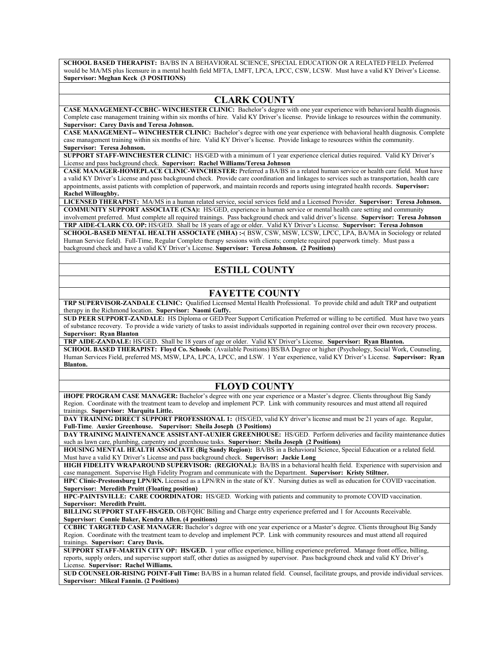**SCHOOL BASED THERAPIST:** BA/BS IN A BEHAVIORAL SCIENCE, SPECIAL EDUCATION OR A RELATED FIELD. Preferred would be MA/MS plus licensure in a mental health field MFTA, LMFT, LPCA, LPCC, CSW, LCSW. Must have a valid KY Driver's License. **Supervisor: Meghan Keck (3 POSITIONS)**

### **CLARK COUNTY**

**CASE MANAGEMENT-CCBHC- WINCHESTER CLINIC:** Bachelor's degree with one year experience with behavioral health diagnosis. Complete case management training within six months of hire. Valid KY Driver's license. Provide linkage to resources within the community. **Supervisor: Carey Davis and Teresa Johnson.**

**CASE MANAGEMENT-- WINCHESTER CLINIC:** Bachelor's degree with one year experience with behavioral health diagnosis. Complete case management training within six months of hire. Valid KY Driver's license. Provide linkage to resources within the community. **Supervisor: Teresa Johnson.**

**SUPPORT STAFF-WINCHESTER CLINIC:** HS/GED with a minimum of 1 year experience clerical duties required. Valid KY Driver's License and pass background check. **Supervisor: Rachel Williams/Teresa Johnson**

**CASE MANAGER-HOMEPLACE CLINIC-WINCHESTER:** Preferred a BA/BS in a related human service or health care field. Must have a valid KY Driver's License and pass background check. Provide care coordination and linkages to services such as transportation, health care appointments, assist patients with completion of paperwork, and maintain records and reports using integrated health records. **Supervisor: Rachel Willoughby.**

**LICENSED THERAPIST:** MA/MS in a human related service, social services field and a Licensed Provider. **Supervisor: Teresa Johnson. COMMUNITY SUPPORT ASSOCIATE (CSA):** HS/GED, experience in human service or mental health care setting and community involvement preferred. Must complete all required trainings. Pass background check and valid driver's license. **Supervisor: Teresa Johnson TRP AIDE-CLARK CO. OP:** HS/GED. Shall be 18 years of age or older. Valid KY Driver's License. **Supervisor: Teresa Johnson SCHOOL-BASED MENTAL HEALTH ASSOCIATE (MHA) :-**( BSW, CSW, MSW, LCSW, LPCC, LPA, BA/MA in Sociology or related Human Service field). Full-Time, Regular Complete therapy sessions with clients; complete required paperwork timely. Must pass a

background check and have a valid KY Driver's License. **Supervisor: Teresa Johnson. (2 Positions)**

# **ESTILL COUNTY**

## **FAYETTE COUNTY**

**TRP SUPERVISOR-ZANDALE CLINIC:** Qualified Licensed Mental Health Professional. To provide child and adult TRP and outpatient therapy in the Richmond location. **Supervisor: Naomi Guffy.**

**SUD PEER SUPPORT-ZANDALE:** HS Diploma or GED/Peer Support Certification Preferred or willing to be certified. Must have two years of substance recovery. To provide a wide variety of tasks to assist individuals supported in regaining control over their own recovery process. **Supervisor: Ryan Blanton**

**TRP AIDE-ZANDALE:** HS/GED. Shall be 18 years of age or older. Valid KY Driver's License. **Supervisor: Ryan Blanton. SCHOOL BASED THERAPIST: Floyd Co. Schools**: (Available Positions) BS/BA Degree or higher (Psychology, Social Work, Counseling, Human Services Field, preferred MS, MSW, LPA, LPCA, LPCC, and LSW. 1 Year experience, valid KY Driver's License. **Supervisor: Ryan Blanton.**

## **FLOYD COUNTY**

**iHOPE PROGRAM CASE MANAGER:** Bachelor's degree with one year experience or a Master's degree. Clients throughout Big Sandy Region. Coordinate with the treatment team to develop and implement PCP. Link with community resources and must attend all required trainings. **Supervisor: Marquita Little.** 

**DAY TRAINING DIRECT SUPPORT PROFESSIONAL 1:** (HS/GED, valid KY driver's license and must be 21 years of age. Regular, **Full-Time**. **Auxier Greenhouse. Supervisor: Sheila Joseph (3 Positions)**

**DAY TRAINING MAINTENANCE ASSISTANT-AUXIER GREENHOUSE:** HS/GED. Perform deliveries and facility maintenance duties such as lawn care, plumbing, carpentry and greenhouse tasks. **Supervisor: Sheila Joseph (2 Positions)**

**HOUSING MENTAL HEALTH ASSOCIATE (Big Sandy Region):** BA/BS in a Behavioral Science, Special Education or a related field. Must have a valid KY Driver's License and pass background check. **Supervisor: Jackie Long**

**HIGH FIDELITY WRAPAROUND SUPERVISOR: (REGIONAL):** BA/BS in a behavioral health field. Experience with supervision and case management. Supervise High Fidelity Program and communicate with the Department. **Supervisor: Kristy Stiltner.**

**HPC Clinic-Prestonsburg LPN/RN.** Licensed as a LPN/RN in the state of KY. Nursing duties as well as education for COVID vaccination. **Supervisor: Meredith Pruitt (Floating position)**

**HPC-PAINTSVILLE: CARE COORDINATOR:** HS/GED. Working with patients and community to promote COVID vaccination. **Supervisor: Meredith Pruitt.**

**BILLING SUPPORT STAFF-HS/GED.** OB/FQHC Billing and Charge entry experience preferred and 1 for Accounts Receivable. **Supervisor: Connie Baker, Kendra Allen. (4 positions)**

**CCBHC TARGETED CASE MANAGER:** Bachelor's degree with one year experience or a Master's degree. Clients throughout Big Sandy Region. Coordinate with the treatment team to develop and implement PCP. Link with community resources and must attend all required trainings. **Supervisor: Carey Davis.**

**SUPPORT STAFF-MARTIN CITY OP: HS/GED.** 1 year office experience, billing experience preferred. Manage front office, billing, reports, supply orders, and supervise support staff, other duties as assigned by supervisor. Pass background check and valid KY Driver's License. **Supervisor: Rachel Williams.**

**SUD COUNSELOR-RISING POINT-Full Time:** BA/BS in a human related field. Counsel, facilitate groups, and provide individual services. **Supervisor: Mikeal Fannin. (2 Positions)**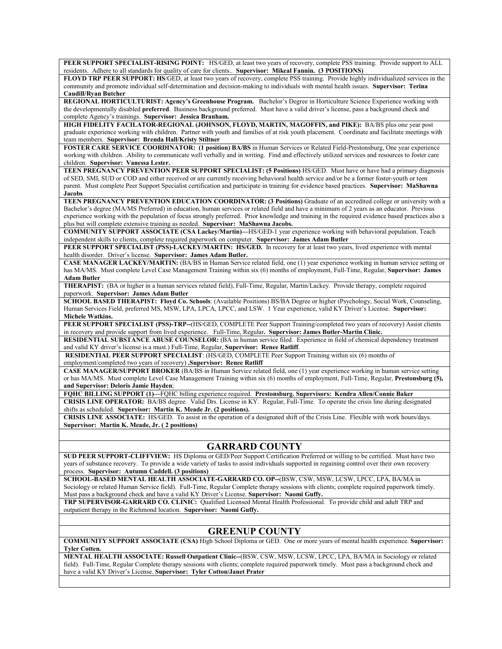**PEER SUPPORT SPECIALIST-RISING POINT:** HS/GED, at least two years of recovery, complete PSS training. Provide support to ALL residents. Adhere to all standards for quality of care for clients.. **Supervisor: Mikeal Fannin. (3 POSITIONS)**

**FLOYD TRP PEER SUPPORT: HS**/GED, at least two years of recovery, complete PSS training. Provide highly individualized services in the community and promote individual self-determination and decision-making to individuals with mental health issues. **Supervisor: Terina Caudill/Ryan Butcher**

**REGIONAL HORTICULTURIST: Agency's Greenhouse Program.** Bachelor's Degree in Horticulture Science Experience working with the developmentally disabled **preferred**. Business background preferred. Must have a valid driver's license, pass a background check and complete Agency's trainings. **Supervisor: Jessica Branham.**

**HIGH FIDELITY FACILATOR-REGIONAL (JOHNSON, FLOYD, MARTIN, MAGOFFIN, and PIKE):** BA/BS plus one year post graduate experience working with children. Partner with youth and families of at risk youth placement. Coordinate and facilitate meetings with team members. **Supervisor: Brenda Hall/Kristy Stiltner**

**FOSTER CARE SERVICE COORDINATOR: (1 position) BA/BS** in Human Services or Related Field-Prestonsburg, One year experience working with children. .Ability to communicate well verbally and in writing. Find and effectively utilized services and resources to foster care children. **Supervisor: Vanessa Lester.**

**TEEN PREGNANCY PREVENTION PEER SUPPORT SPECIALIST: (5 Positions)** HS/GED. Must have or have had a primary diagnosis of SED, SMI, SUD or COD and either received or are currently receiving behavioral health service and/or be a former foster-youth or teen parent. Must complete Peer Support Specialist certification and participate in training for evidence based practices. **Supervisor: MaShawna Jacobs**

**TEEN PREGNANCY PREVENTION EDUCATION COORDINATOR: (3 Positions)** Graduate of an accredited college or university with a Bachelor's degree (MA/MS Preferred) in education, human services or related field and have a minimum of 2 years as an educator. Previous experience working with the population of focus strongly preferred. Prior knowledge and training in the required evidence based practices also a plus but will complete extensive training as needed. **Supervisor: MaShawna Jacobs.**

**COMMUNITY SUPPORT ASSOCIATE (CSA Lackey/Martin)—**HS/GED-1 year experience working with behavioral population. Teach independent skills to clients, complete required paperwork on computer. **Supervisor: James Adam Butler**

PEER SUPPORT SPECIALIST (PSS)-LACKEY/MARTIN: HS/GED. In recovery for at least two years, lived experience with mental health disorder. Driver's license. **Supervisor: James Adam Butler.**

**CASE MANAGER LACKEY/MARTIN:** (BA/BS in Human Service related field, one (1) year experience working in human service setting or has MA/MS. Must complete Level Case Management Training within six (6) months of employment, Full-Time, Regular, **Supervisor: James Adam Butler**

**THERAPIST:** (BA or higher in a human services related field), Full-Time, Regular, Martin/Lackey. Provide therapy, complete required paperwork. **Supervisor: James Adam Butler**

**SCHOOL BASED THERAPIST: Floyd Co. Schools**: (Available Positions) BS/BA Degree or higher (Psychology, Social Work, Counseling, Human Services Field, preferred MS, MSW, LPA, LPCA, LPCC, and LSW. 1 Year experience, valid KY Driver's License. **Supervisor: Michele Watkins.**

**PEER SUPPORT SPECIALIST (PSS)-TRP--**(HS/GED, COMPLETE Peer Support Training/completed two years of recovery) Assist clients in recovery and provide support from lived experience. Full-Time, Regular**. Supervisor: James Butler-Martin Clinic.**

**RESIDENTIAL SUBSTANCE ABUSE COUNSELOR:** (BA in human service filed. Experience in field of chemical dependency treatment and valid KY driver's license is a must.) Full-Time, Regular, **Supervisor: Renee Ratliff**.

**RESIDENTIAL PEER SUPPORT SPECIALIST**: (HS/GED, COMPLETE Peer Support Training within six (6) months of employment/completed two years of recovery) **.Supervisor: Renee Ratliff**

**CASE MANAGER/SUPPORT BROKER** (BA/BS in Human Service related field, one (1) year experience working in human service setting or has MA/MS. Must complete Level Case Management Training within six (6) months of employment, Full-Time, Regular, **Prestonsburg (5), and Supervisor: Deloris Jamie Hayden**;

**FQHC BILLING SUPPORT (1)—**FQHC billing experience required. **Prestonsburg. Supervisors: Kendra Allen/Connie Baker**

**CRISIS LINE OPERATOR:** BA/BS degree. Valid Drs. License in KY. Regular, Full-Time. To operate the crisis line during designated shifts as scheduled. **Supervisor: Martin K. Meade Jr. (2 positions).**

**CRISIS LINE ASSOCIATE:** HS/GED. To assist in the operation of a designated shift of the Crisis Line. Flexible with work hours/days. **Supervisor: Martin K. Meade, Jr. ( 2 positions)**

# **GARRARD COUNTY**

**SUD PEER SUPPORT-CLIFFVIEW:** HS Diploma or GED/Peer Support Certification Preferred or willing to be certified. Must have two years of substance recovery. To provide a wide variety of tasks to assist individuals supported in regaining control over their own recovery process. **Supervisor: Autumn Caddell. (3 positions)**

**SCHOOL-BASED MENTAL HEALTH ASSOCIATE-GARRARD CO. OP--**(BSW, CSW, MSW, LCSW, LPCC, LPA, BA/MA in Sociology or related Human Service field). Full-Time, Regular Complete therapy sessions with clients; complete required paperwork timely. Must pass a background check and have a valid KY Driver's License. **Supervisor: Naomi Guffy.**

**TRP SUPERVISOR-GARRARD CO. CLINIC:** Qualified Licensed Mental Health Professional. To provide child and adult TRP and outpatient therapy in the Richmond location. **Supervisor: Naomi Guffy.**

# **GREENUP COUNTY**

**COMMUNITY SUPPORT ASSOCIATE (CSA)** High School Diploma or GED. One or more years of mental health experience. **Supervisor: Tyler Cotten.**

**MENTAL HEALTH ASSOCIATE: Russell Outpatient Clinic--**(BSW, CSW, MSW, LCSW, LPCC, LPA, BA/MA in Sociology or related field). Full-Time, Regular Complete therapy sessions with clients; complete required paperwork timely. Must pass a background check and have a valid KY Driver's License. **Supervisor: Tyler Cotton/Janet Prater**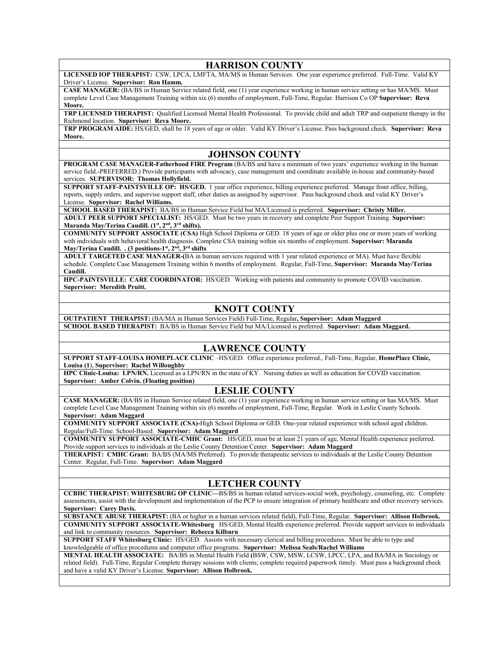### **HARRISON COUNTY**

**LICENSED IOP THERAPIST:** CSW, LPCA, LMFTA, MA/MS in Human Services. One year experience preferred. Full-Time. Valid KY Driver's License. **Supervisor: Ron Hamm.**

**CASE MANAGER:** (BA/BS in Human Service related field, one (1) year experience working in human service setting or has MA/MS. Must complete Level Case Management Training within six (6) months of employment, Full-Time, Regular. Harrison Co OP **Supervisor: Reva Moore.**

**TRP LICENSED THERAPIST:** Qualified Licensed Mental Health Professional. To provide child and adult TRP and outpatient therapy in the Richmond location. **Supervisor: Reva Moore.**

**TRP PROGRAM AIDE:** HS/GED, shall be 18 years of age or older. Valid KY Driver's License. Pass background check. **Supervisor: Reva Moore.**

#### **JOHNSON COUNTY**

**PROGRAM CASE MANAGER-Fatherhood FIRE Program (BA/BS and have a minimum of two years' experience working in the human** service field.-PREFERRED.) Provide participants with advocacy, case management and coordinate available in-house and community-based services. **SUPERVISOR: Thomas Hollyfield.**

**SUPPORT STAFF-PAINTSVILLE OP: HS/GED.** 1 year office experience, billing experience preferred. Manage front office, billing, reports, supply orders, and supervise support staff, other duties as assigned by supervisor. Pass background check and valid KY Driver's License. **Supervisor: Rachel Williams.**

**SCHOOL BASED THERAPIST:** BA/BS in Human Service Field but MA/Licensed is preferred. **Supervisor: Christy Miller. ADULT PEER SUPPORT SPECIALIST:** HS/GED. Must be two years in recovery and complete Peer Support Training. **Supervisor:**  Maranda May/Terina Caudill. (1<sup>st</sup>, 2<sup>nd</sup>, 3<sup>rd</sup> shifts).

**COMMUNITY SUPPORT ASSOCIATE (CSA)** High School Diploma or GED. 18 years of age or older plus one or more years of working with individuals with behavioral health diagnosis. Complete CSA training within six months of employment. **Supervisor: Maranda May/Terina Caudill. . (3 positions-1st, 2nd, 3rd shifts**

**ADULT TARGETED CASE MANAGER-(**BA in human services required with 1 year related experience or MA). Must have flexible schedule. Complete Case Management Training within 6 months of employment. Regular, Full-Time, **Supervisor: Maranda May/Terina Caudill.**

**HPC-PAINTSVILLE: CARE COORDINATOR:** HS/GED. Working with patients and community to promote COVID vaccination. **Supervisor: Meredith Pruitt.**

## **KNOTT COUNTY**

**OUTPATIENT THERAPIST:** (BA/MA in Human Services Field) Full-Time, Regular**, Supervisor: Adam Maggard SCHOOL BASED THERAPIST:** BA/BS in Human Service Field but MA/Licensed is preferred. **Supervisor: Adam Maggard.**

# **LAWRENCE COUNTY**

**SUPPORT STAFF-LOUISA HOMEPLACE CLINIC** –HS/GED. Office experience preferred., Full-Time, Regular, **HomePlace Clinic, Louisa (1**), **Supervisor: Rachel Willoughby**

**HPC Clinic-Louisa: LPN/RN.** Licensed as a LPN/RN in the state of KY. Nursing duties as well as education for COVID vaccination. **Supervisor: Amber Colvin. (Floating position)**

#### **LESLIE COUNTY**

**CASE MANAGER:** (BA/BS in Human Service related field, one (1) year experience working in human service setting or has MA/MS. Must complete Level Case Management Training within six (6) months of employment, Full-Time, Regular. Work in Leslie County Schools. **Supervisor: Adam Maggard**

**COMMUNITY SUPPORT ASSOCIATE (CSA)-**High School Diploma or GED. One-year related experience with school aged children. Regular/Full-Time. School-Based. **Supervisor: Adam Maggard**

**COMMUNITY SUPPORT ASSOCIATE-CMHC Grant:** HS/GED, must be at least 21 years of age, Mental Health experience preferred. Provide support services to individuals at the Leslie County Detention Center. **Supervisor: Adam Maggard**

**THERAPIST: CMHC Grant:** BA/BS (MA/MS Preferred). To provide therapeutic services to individuals at the Leslie County Detention Center. Regular, Full-Time. **Supervisor: Adam Maggard**

# **LETCHER COUNTY**

**CCBHC THERAPIST: WHITESBURG OP CLINIC—**BS/BS in human related services-social work, psychology, counseling, etc. Complete assessments, assist with the development and implementation of the PCP to ensure integration of primary healthcare and other recovery services. **Supervisor: Carey Davis.**

**SUBSTANCE ABUSE THERAPIST:** (BA or higher in a human services related field), Full-Time, Regular. **Supervisor: Allison Holbrook. COMMUNITY SUPPORT ASSOCIATE-Whitesburg** HS/GED, Mental Health experience preferred. Provide support services to individuals and link to community resources. **Supervisor: Rebecca Kilburn**

**SUPPORT STAFF Whitesburg Clinic:** HS/GED. Assists with necessary clerical and billing procedures. Must be able to type and knowledgeable of office procedures and computer office programs. **Supervisor: Melissa Seals/Rachel Williams**

**MENTAL HEALTH ASSOCIATE:** BA/BS in Mental Health Field **(**BSW, CSW, MSW, LCSW, LPCC, LPA, and BA/MA in Sociology or related field). Full-Time, Regular Complete therapy sessions with clients; complete required paperwork timely. Must pass a background check and have a valid KY Driver's License. **Supervisor: Allison Holbrook.**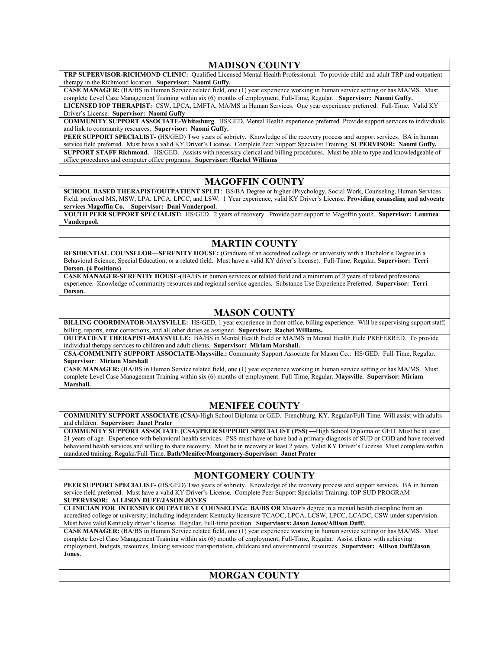#### **MADISON COUNTY**

**TRP SUPERVISOR-RICHMOND CLINIC:** Qualified Licensed Mental Health Professional. To provide child and adult TRP and outpatient therapy in the Richmond location. **Supervisor: Naomi Guffy.**

**CASE MANAGER:** (BA/BS in Human Service related field, one (1) year experience working in human service setting or has MA/MS. Must complete Level Case Management Training within six (6) months of employment, Full-Time, Regular. . **Supervisor: Naomi Guffy.**

**LICENSED IOP THERAPIST:** CSW, LPCA, LMFTA, MA/MS in Human Services. One year experience preferred. Full-Time. Valid KY Driver's License. **Supervisor: Naomi Guffy**

**COMMUNITY SUPPORT ASSOCIATE-Whitesburg** HS/GED, Mental Health experience preferred. Provide support services to individuals and link to community resources. **Supervisor: Naomi Guffy.**

**PEER SUPPORT SPECIALIST- (**HS/GED) Two years of sobriety. Knowledge of the recovery process and support services. BA in human service field preferred. Must have a valid KY Driver's License. Complete Peer Support Specialist Training. **SUPERVISOR: Naomi Guffy. SUPPORT STAFF Richmond.** HS/GED. Assists with necessary clerical and billing procedures. Must be able to type and knowledgeable of office procedures and computer office programs. **Supervisor: /Rachel Williams**

### **MAGOFFIN COUNTY**

**SCHOOL BASED THERAPIST/OUTPATIENT SPLIT**: BS/BA Degree or higher (Psychology, Social Work, Counseling, Human Services Field, preferred MS, MSW, LPA, LPCA, LPCC, and LSW. 1 Year experience, valid KY Driver's License. **Providing counseling and advocate services Magoffin Co. Supervisor: Dani Vanderpool.**

**YOUTH PEER SUPPORT SPECIALIST:** HS/GED. 2 years of recovery. Provide peer support to Magoffin youth. **Supervisor: Laurnea Vanderpool.**

# **MARTIN COUNTY**

**RESIDENTIAL COUNSELOR—SERENITY HOUSE:** (Graduate of an accredited college or university with a Bachelor's Degree in a Behavioral Science, Special Education, or a related field. Must have a valid KY driver's license). Full-Time, Regular**. Supervisor: Terri Dotson. (4 Positions)**

**CASE MANAGER-SERENTIY HOUSE-(**BA/BS in human services or related field and a minimum of 2 years of related professional experience. Knowledge of community resources and regional service agencies. Substance Use Experience Preferred. **Supervisor: Terri Dotson.**

### **MASON COUNTY**

**BILLING COORDINATOR-MAYSVILLE:** HS/GED, 1 year experience in front office, billing experience. Will be supervising support staff, billing, reports, error corrections, and all other duties as assigned. **Supervisor: Rachel Williams.**

**OUTPATIENT THERAPIST-MAYSVILLE:** BA/BS in Mental Health Field or MA/MS in Mental Health Field PREFERRED. To provide individual therapy services to children and adult clients. **Supervisor: Miriam Marshall.**

**CSA-COMMUNITY SUPPORT ASSOCIATE-Maysville.:** Community Support Associate for Mason Co.: HS/GED. Full-Time, Regular. **Supervisor**: **Miriam Marshall**

**CASE MANAGER:** (BA/BS in Human Service related field, one (1) year experience working in human service setting or has MA/MS. Must complete Level Case Management Training within six (6) months of employment. Full-Time, Regular, **Maysville. Supervisor: Miriam Marshall.**

#### **MENIFEE COUNTY**

**COMMUNITY SUPPORT ASSOCIATE (CSA)-**High School Diploma or GED. Frenchburg, KY. Regular/Full-Time. Will assist with adults and children. **Supervisor: Janet Prater**

**COMMUNITY SUPPORT ASSOCIATE (CSA)/PEER SUPPORT SPECIALIST (PSS) —**High School Diploma or GED. Must be at least 21 years of age. Experience with behavioral health services. PSS must have or have had a primary diagnosis of SUD or COD and have received behavioral health services and willing to share recovery. Must be in recovery at least 2 years. Valid KY Driver's License. Must complete within mandated training. Regular/Full-Time. **Bath/Menifee/Montgomery-Supervisor: Janet Prater**

## **MONTGOMERY COUNTY**

**PEER SUPPORT SPECIALIST- (**HS/GED) Two years of sobriety. Knowledge of the recovery process and support services. BA in human service field preferred. Must have a valid KY Driver's License. Complete Peer Support Specialist Training. IOP SUD PROGRAM **SUPERVISOR: ALLISON DUFF/JASON JONES**

**CLINICIAN FOR INTENSIVE OUTPATIENT COUNSELING: BA/BS OR** Master's degree in a mental health discipline from an accredited college or university; including independent Kentucky licensure TCAOC, LPCA, LCSW, LPCC, LCADC, CSW under supervision. Must have valid Kentucky driver's license. Regular, Full-time position. **Supervisors: Jason Jones/Allison Duff/.**

**CASE MANAGER:** (BA/BS in Human Service related field, one (1) year experience working in human service setting or has MA/MS. Must complete Level Case Management Training within six (6) months of employment, Full-Time, Regular. Assist clients with achieving employment, budgets, resources, linking services: transportation, childcare and environmental resources. **Supervisor: Allison Duff/Jason Jones.**

# **MORGAN COUNTY**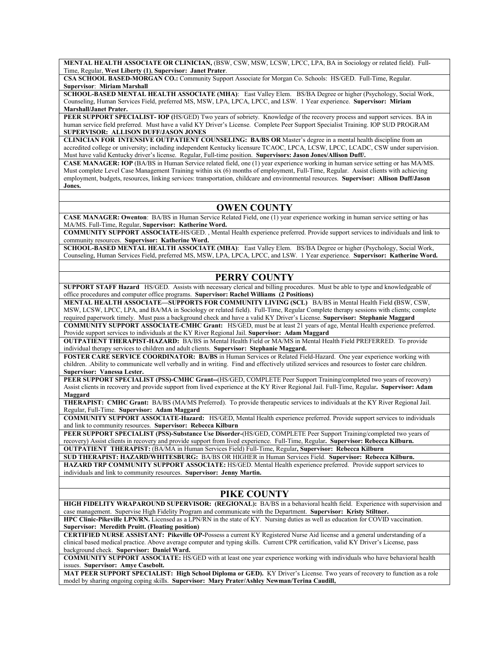**MENTAL HEALTH ASSOCIATE OR CLINICIAN,** (BSW, CSW, MSW, LCSW, LPCC, LPA, BA in Sociology or related field). Full-Time, Regular, **West Liberty (1)**, **Supervisor: Janet Prater**.

**CSA SCHOOL BASED-MORGAN CO.:** Community Support Associate for Morgan Co. Schools: HS/GED. Full-Time, Regular. **Supervisor**: **Miriam Marshall**

**SCHOOL-BASED MENTAL HEALTH ASSOCIATE (MHA)**: East Valley Elem. BS/BA Degree or higher (Psychology, Social Work, Counseling, Human Services Field, preferred MS, MSW, LPA, LPCA, LPCC, and LSW. 1 Year experience. **Supervisor: Miriam Marshall/Janet Prater.**

**PEER SUPPORT SPECIALIST- IOP (**HS/GED) Two years of sobriety. Knowledge of the recovery process and support services. BA in human service field preferred. Must have a valid KY Driver's License. Complete Peer Support Specialist Training. IOP SUD PROGRAM **SUPERVISOR: ALLISON DUFF/JASON JONES**

**CLINICIAN FOR INTENSIVE OUTPATIENT COUNSELING: BA/BS OR** Master's degree in a mental health discipline from an accredited college or university; including independent Kentucky licensure TCAOC, LPCA, LCSW, LPCC, LCADC, CSW under supervision. Must have valid Kentucky driver's license. Regular, Full-time position. **Supervisors: Jason Jones/Allison Duff/.**

**CASE MANAGER: IOP** (BA/BS in Human Service related field, one (1) year experience working in human service setting or has MA/MS. Must complete Level Case Management Training within six (6) months of employment, Full-Time, Regular. Assist clients with achieving employment, budgets, resources, linking services: transportation, childcare and environmental resources. **Supervisor: Allison Duff/Jason Jones.**

## **OWEN COUNTY**

**CASE MANAGER: Owenton**: BA/BS in Human Service Related Field, one (1) year experience working in human service setting or has MA/MS. Full-Time, Regular, **Supervisor: Katherine Word.**

**COMMUNITY SUPPORT ASSOCIATE-**HS/GED. , Mental Health experience preferred. Provide support services to individuals and link to community resources. **Supervisor: Katherine Word.**

**SCHOOL-BASED MENTAL HEALTH ASSOCIATE (MHA)**: East Valley Elem. BS/BA Degree or higher (Psychology, Social Work, Counseling, Human Services Field, preferred MS, MSW, LPA, LPCA, LPCC, and LSW. 1 Year experience. **Supervisor: Katherine Word.**

### **PERRY COUNTY**

**SUPPORT STAFF Hazard** HS/GED. Assists with necessary clerical and billing procedures. Must be able to type and knowledgeable of office procedures and computer office programs. **Supervisor: Rachel Williams (2 Positions)**

**MENTAL HEALTH ASSOCIATE—SUPPORTS FOR COMMUNITY LIVING (SCL)** BA/BS in Mental Health Field **(**BSW, CSW, MSW, LCSW, LPCC, LPA, and BA/MA in Sociology or related field). Full-Time, Regular Complete therapy sessions with clients; complete required paperwork timely. Must pass a background check and have a valid KY Driver's License. **Supervisor: Stephanie Maggard**

**COMMUNITY SUPPORT ASSOCIATE-CMHC Grant:** HS/GED, must be at least 21 years of age, Mental Health experience preferred. Provide support services to individuals at the KY River Regional Jail. **Supervisor: Adam Maggard**

**OUTPATIENT THERAPIST-HAZARD:** BA/BS in Mental Health Field or MA/MS in Mental Health Field PREFERRED. To provide individual therapy services to children and adult clients. **Supervisor: Stephanie Maggard.**

**FOSTER CARE SERVICE COORDINATOR: BA/BS** in Human Services or Related Field-Hazard. One year experience working with children. .Ability to communicate well verbally and in writing. Find and effectively utilized services and resources to foster care children. **Supervisor: Vanessa Lester.**

**PEER SUPPORT SPECIALIST (PSS)-CMHC Grant--**(HS/GED, COMPLETE Peer Support Training/completed two years of recovery) Assist clients in recovery and provide support from lived experience at the KY River Regional Jail. Full-Time, Regular**. Supervisor: Adam Maggard**

**THERAPIST: CMHC Grant:** BA/BS (MA/MS Preferred). To provide therapeutic services to individuals at the KY River Regional Jail. Regular, Full-Time. **Supervisor: Adam Maggard**

**COMMUNITY SUPPORT ASSOCIATE-Hazard:** HS/GED, Mental Health experience preferred. Provide support services to individuals and link to community resources. **Supervisor: Rebecca Kilburn**

**PEER SUPPORT SPECIALIST (PSS)-Substance Use Disorder-**(HS/GED, COMPLETE Peer Support Training/completed two years of recovery) Assist clients in recovery and provide support from lived experience. Full-Time, Regular**. Supervisor: Rebecca Kilburn. OUTPATIENT THERAPIST:** (BA/MA in Human Services Field) Full-Time, Regular**, Supervisor: Rebecca Kilburn**

**SUD THERAPIST: HAZARD/WHITESBURG:** BA/BS OR HIGHER in Human Services Field. **Supervisor: Rebecca Kilburn. HAZARD TRP COMMUNITY SUPPORT ASSOCIATE:** HS/GED. Mental Health experience preferred. Provide support services to individuals and link to community resources. **Supervisor: Jenny Martin.**

## **PIKE COUNTY**

**HIGH FIDELITY WRAPAROUND SUPERVISOR: (REGIONAL):** BA/BS in a behavioral health field. Experience with supervision and case management. Supervise High Fidelity Program and communicate with the Department. **Supervisor: Kristy Stiltner.**

**HPC Clinic-Pikeville LPN/RN.** Licensed as a LPN/RN in the state of KY. Nursing duties as well as education for COVID vaccination. **Supervisor: Meredith Pruitt. (Floating position)**

**CERTIFIED NURSE ASSISTANT: Pikeville OP-**Possess a current KY Registered Nurse Aid license and a general understanding of a clinical based medical practice. Above average computer and typing skills. Current CPR certification, valid KY Driver's License, pass background check. **Supervisor: Daniel Ward.**

**COMMUNITY SUPPORT ASSOCIATE:** HS/GED with at least one year experience working with individuals who have behavioral health issues. **Supervisor: Amye Casebolt.**

**MAT PEER SUPPORT SPECIALIST: High School Diploma or GED).** KY Driver's License. Two years of recovery to function as a role model by sharing ongoing coping skills. **Supervisor: Mary Prater/Ashley Newman/Terina Caudill,**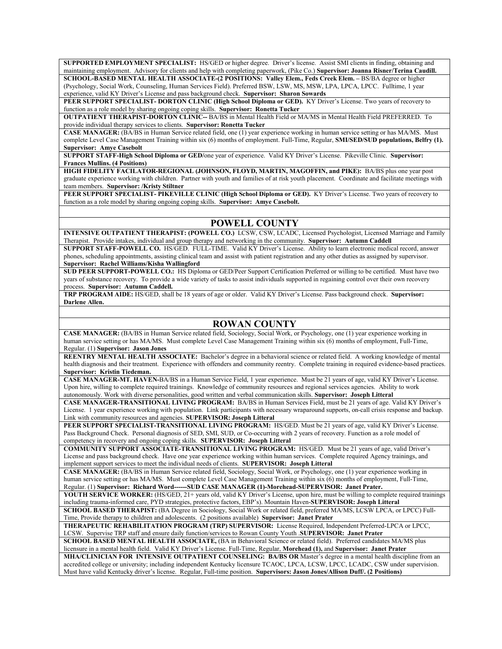**SUPPORTED EMPLOYMENT SPECIALIST:** HS/GED or higher degree. Driver's license. Assist SMI clients in finding, obtaining and maintaining employment. Advisory for clients and help with completing paperwork, (Pike Co.) **Supervisor: Joanna Risner/Terina Caudill. SCHOOL-BASED MENTAL HEALTH ASSOCIATE-(2 POSITIONS: Valley Elem., Feds Creek Elem. –** BS/BA degree or higher

(Psychology, Social Work, Counseling, Human Services Field). Preferred BSW, LSW, MS, MSW, LPA, LPCA, LPCC. Fulltime, 1 year experience, valid KY Driver's License and pass background check. **Supervisor: Sharon Sowards**

**PEER SUPPORT SPECIALIST- DORTON CLINIC (High School Diploma or GED).** KY Driver's License. Two years of recovery to function as a role model by sharing ongoing coping skills. **Supervisor: Ronetta Tucker**

**OUTPATIENT THERAPIST-DORTON CLINIC--** BA/BS in Mental Health Field or MA/MS in Mental Health Field PREFERRED. To provide individual therapy services to clients. **Supervisor: Ronetta Tucker**

**CASE MANAGER:** (BA/BS in Human Service related field, one (1) year experience working in human service setting or has MA/MS. Must complete Level Case Management Training within six (6) months of employment. Full-Time, Regular, **SMI/SED/SUD populations, Belfry (1). Supervisor: Amye Casebolt**

**SUPPORT STAFF-High School Diploma or GED/**one year of experience. Valid KY Driver's License. Pikeville Clinic. **Supervisor: Frances Mullins. (4 Positions)**

**HIGH FIDELITY FACILATOR-REGIONAL (JOHNSON, FLOYD, MARTIN, MAGOFFIN, and PIKE):** BA/BS plus one year post graduate experience working with children. Partner with youth and families of at risk youth placement. Coordinate and facilitate meetings with team members. **Supervisor: /Kristy Stiltner**

**PEER SUPPORT SPECIALIST- PIKEVILLE CLINIC (High School Diploma or GED).** KY Driver's License. Two years of recovery to function as a role model by sharing ongoing coping skills. **Supervisor: Amye Casebolt.**

#### **POWELL COUNTY**

**INTENSIVE OUTPATIENT THERAPIST: (POWELL CO.)** LCSW, CSW, LCADC, Licensed Psychologist, Licensed Marriage and Family Therapist. Provide intakes, individual and group therapy and networking in the community. **Supervisor: Autumn Caddell**

**SUPPORT STAFF-POWELL CO.** HS/GED. FULL-TIME. Valid KY Driver's License. Ability to learn electronic medical record, answer phones, scheduling appointments, assisting clinical team and assist with patient registration and any other duties as assigned by supervisor. **Supervisor: Rachel Williams/Kisha Wallingford**

**SUD PEER SUPPORT-POWELL CO.:** HS Diploma or GED/Peer Support Certification Preferred or willing to be certified. Must have two years of substance recovery. To provide a wide variety of tasks to assist individuals supported in regaining control over their own recovery process. **Supervisor: Autumn Caddell.**

**TRP PROGRAM AIDE:** HS/GED, shall be 18 years of age or older. Valid KY Driver's License. Pass background check. **Supervisor: Darlene Allen.**

#### **ROWAN COUNTY**

**CASE MANAGER:** (BA/BS in Human Service related field, Sociology, Social Work, or Psychology, one (1) year experience working in human service setting or has MA/MS. Must complete Level Case Management Training within six (6) months of employment, Full-Time, Regular. (1) **Supervisor: Jason Jones**

**REENTRY MENTAL HEALTH ASSOCIATE:** Bachelor's degree in a behavioral science or related field. A working knowledge of mental health diagnosis and their treatment. Experience with offenders and community reentry. Complete training in required evidence-based practices. **Supervisor: Kristin Tiedeman.**

**CASE MANAGER-MT. HAVEN-**BA/BS in a Human Service Field, 1 year experience. Must be 21 years of age, valid KY Driver's License. Upon hire, willing to complete required trainings. Knowledge of community resources and regional services agencies. Ability to work autonomously. Work with diverse personalities, good written and verbal communication skills. **Supervisor: Joseph Litteral**

**CASE MANAGER-TRANSITIONAL LIVING PROGRAM:** BA/BS in Human Services Field, must be 21 years of age. Valid KY Driver's License. 1 year experience working with population. Link participants with necessary wraparound supports, on-call crisis response and backup. Link with community resources and agencies. **SUPERVISOR: Joseph Litteral**

**PEER SUPPORT SPECIALIST-TRANSITIONAL LIVING PROGRAM:** HS/GED. Must be 21 years of age, valid KY Driver's License. Pass Background Check. Personal diagnosis of SED, SMI, SUD, or Co-occurring with 2 years of recovery. Function as a role model of competency in recovery and ongoing coping skills. **SUPERVISOR: Joseph Litteral**

**COMMUNITY SUPPORT ASSOCIATE-TRANSITIONAL LIVING PROGRAM:** HS/GED. Must be 21 years of age, valid Driver's License and pass background check. Have one year experience working within human services. Complete required Agency trainings, and implement support services to meet the individual needs of clients. **SUPERVISOR: Joseph Litteral**

**CASE MANAGER:** (BA/BS in Human Service related field, Sociology, Social Work, or Psychology, one (1) year experience working in human service setting or has MA/MS. Must complete Level Case Management Training within six (6) months of employment, Full-Time, Regular. (1) **Supervisor: Richard Word------SUD CASE MANAGER (1)-Morehead-SUPERVISOR: Janet Prater.**

**YOUTH SERVICE WORKER:** (HS/GED, 21+ years old, valid KY Driver's License, upon hire, must be willing to complete required trainings including trauma-informed care, PYD strategies, protective factors, EBP's). Mountain Haven-**SUPERVISOR: Joseph Litteral** 

**SCHOOL BASED THERAPIST:** (BA Degree in Sociology, Social Work or related field, preferred MA/MS, LCSW LPCA, or LPCC) Full-Time, Provide therapy to children and adolescents. (2 positions available) **Supervisor: Janet Prater**

**THERAPEUTIC REHABILITATION PROGRAM (TRP) SUPERVISOR:** License Required, Independent Preferred-LPCA or LPCC, LCSW. Supervise TRP staff and ensure daily function/services to Rowan County Youth .**SUPERVISOR: Janet Prater**

**SCHOOL BASED MENTAL HEALTH ASSOCIATE,** (BA in Behavioral Science or related field). Preferred candidates MA/MS plus licensure in a mental health field. Valid KY Driver's License. Full-Time, Regular, **Morehead (1),** and **Supervisor: Janet Prater**

**MHA/CLINICIAN FOR INTENSIVE OUTPATIENT COUNSELING: BA/BS OR** Master's degree in a mental health discipline from an accredited college or university; including independent Kentucky licensure TCAOC, LPCA, LCSW, LPCC, LCADC, CSW under supervision. Must have valid Kentucky driver's license. Regular, Full-time position. **Supervisors: Jason Jones/Allison Duff/. (2 Positions)**